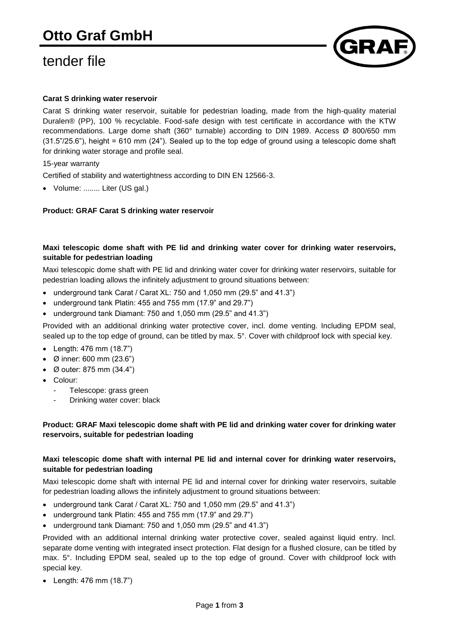# tender file



# **Carat S drinking water reservoir**

Carat S drinking water reservoir, suitable for pedestrian loading, made from the high-quality material Duralen® (PP), 100 % recyclable. Food-safe design with test certificate in accordance with the KTW recommendations. Large dome shaft (360° turnable) according to DIN 1989. Access Ø 800/650 mm (31.5"/25.6"), height = 610 mm (24"). Sealed up to the top edge of ground using a telescopic dome shaft for drinking water storage and profile seal.

## 15-year warranty

Certified of stability and watertightness according to DIN EN 12566-3.

Volume: ........ Liter (US gal.)

#### **Product: GRAF Carat S drinking water reservoir**

## **Maxi telescopic dome shaft with PE lid and drinking water cover for drinking water reservoirs, suitable for pedestrian loading**

Maxi telescopic dome shaft with PE lid and drinking water cover for drinking water reservoirs, suitable for pedestrian loading allows the infinitely adjustment to ground situations between:

- underground tank Carat / Carat XL: 750 and 1,050 mm (29.5" and 41.3")
- underground tank Platin: 455 and 755 mm (17.9" and 29.7")
- underground tank Diamant: 750 and 1,050 mm (29.5" and 41.3")

Provided with an additional drinking water protective cover, incl. dome venting. Including EPDM seal, sealed up to the top edge of ground, can be titled by max. 5°. Cover with childproof lock with special key.

- Length: 476 mm (18.7")
- Ø inner: 600 mm (23.6")
- Ø outer: 875 mm (34.4")
- Colour:
	- Telescope: grass green
	- Drinking water cover: black

## **Product: GRAF Maxi telescopic dome shaft with PE lid and drinking water cover for drinking water reservoirs, suitable for pedestrian loading**

# **Maxi telescopic dome shaft with internal PE lid and internal cover for drinking water reservoirs, suitable for pedestrian loading**

Maxi telescopic dome shaft with internal PE lid and internal cover for drinking water reservoirs, suitable for pedestrian loading allows the infinitely adjustment to ground situations between:

- underground tank Carat / Carat XL: 750 and 1,050 mm (29.5" and 41.3")
- underground tank Platin: 455 and 755 mm (17.9" and 29.7")
- underground tank Diamant: 750 and 1,050 mm (29.5" and 41.3")

Provided with an additional internal drinking water protective cover, sealed against liquid entry. Incl. separate dome venting with integrated insect protection. Flat design for a flushed closure, can be titled by max. 5°. Including EPDM seal, sealed up to the top edge of ground. Cover with childproof lock with special key.

Length: 476 mm (18.7")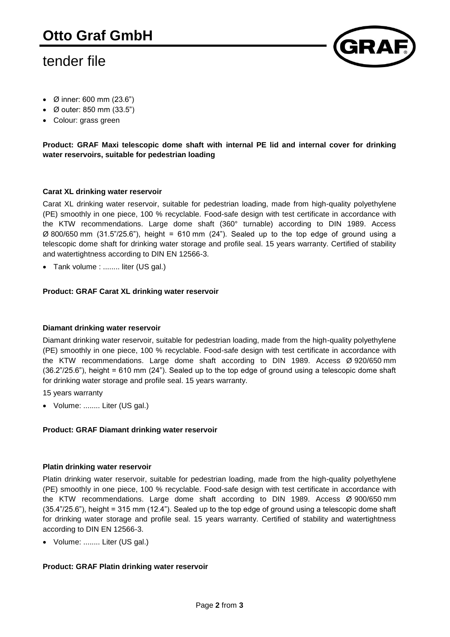# tender file



- Ø inner: 600 mm (23.6")
- Ø outer: 850 mm (33.5")
- Colour: grass green

**Product: GRAF Maxi telescopic dome shaft with internal PE lid and internal cover for drinking water reservoirs, suitable for pedestrian loading**

## **Carat XL drinking water reservoir**

Carat XL drinking water reservoir, suitable for pedestrian loading, made from high-quality polyethylene (PE) smoothly in one piece, 100 % recyclable. Food-safe design with test certificate in accordance with the KTW recommendations. Large dome shaft (360° turnable) according to DIN 1989. Access  $\varnothing$  800/650 mm (31.5"/25.6"), height = 610 mm (24"). Sealed up to the top edge of ground using a telescopic dome shaft for drinking water storage and profile seal. 15 years warranty. Certified of stability and watertightness according to DIN EN 12566-3.

Tank volume : ........ liter (US gal.)

#### **Product: GRAF Carat XL drinking water reservoir**

#### **Diamant drinking water reservoir**

Diamant drinking water reservoir, suitable for pedestrian loading, made from the high-quality polyethylene (PE) smoothly in one piece, 100 % recyclable. Food-safe design with test certificate in accordance with the KTW recommendations. Large dome shaft according to DIN 1989. Access Ø 920/650 mm (36.2"/25.6"), height = 610 mm (24"). Sealed up to the top edge of ground using a telescopic dome shaft for drinking water storage and profile seal. 15 years warranty.

15 years warranty

Volume: ........ Liter (US gal.)

#### **Product: GRAF Diamant drinking water reservoir**

#### **Platin drinking water reservoir**

Platin drinking water reservoir, suitable for pedestrian loading, made from the high-quality polyethylene (PE) smoothly in one piece, 100 % recyclable. Food-safe design with test certificate in accordance with the KTW recommendations. Large dome shaft according to DIN 1989. Access Ø 900/650 mm (35.4"/25.6"), height = 315 mm (12.4"). Sealed up to the top edge of ground using a telescopic dome shaft for drinking water storage and profile seal. 15 years warranty. Certified of stability and watertightness according to DIN EN 12566-3.

Volume: ........ Liter (US gal.)

## **Product: GRAF Platin drinking water reservoir**